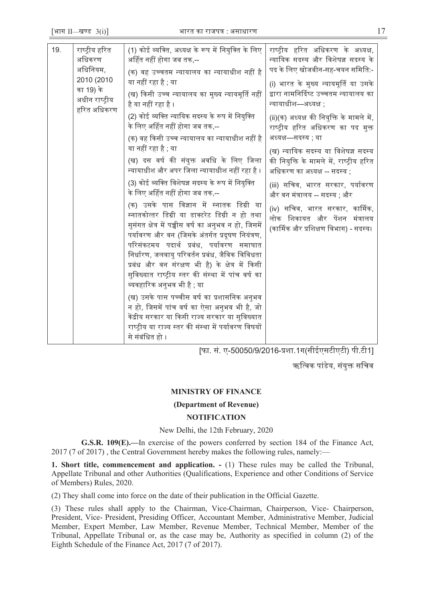| 19. | राष्ट्रीय हरित<br>अधिकरण<br>अधिनियम,<br>2010 (2010<br>का 19) के<br>अधीन राष्ट्रीय<br>हरित अधिकरण | (1) कोई व्यक्ति, अध्यक्ष के रूप में नियुक्ति के लिए<br>अर्हित नहीं होगा जब तक,--<br>(क) वह उच्चतम न्यायालय का न्यायाधीश नहीं है<br>या नहीं रहा है ; या<br>(ख) किसी उच्च न्यायालय का मुख्य न्यायमूर्ति नहीं<br>है या नहीं रहा है ।<br>(2) कोई व्यक्ति न्यायिक सदस्य के रूप में नियुक्ति<br>के लिए अर्हित नहीं होगा जब तक,--<br>(क) वह किसी उच्च न्यायालय का न्यायाधीश नहीं है<br>या नहीं रहा है ; या<br>(ख) दस वर्ष की संयुक्त अवधि के लिए जिला<br>न्यायाधीश और अपर जिला न्यायाधीश नहीं रहा है ।<br>(3) कोई व्यक्ति विशेषज्ञ सदस्य के रूप में नियुक्ति<br>के लिए अर्हित नहीं होगा जब तक,--<br>(क) उसके पास विज्ञान में स्नातक डिग्री या<br>स्नातकोत्तर डिग्री या डाक्टरेट डिग्री न हो तथा<br>सुसंगत क्षेत्र में पच्चीस वर्ष का अनुभव न हो, जिसमें<br>पर्यावरण और वन (जिसके अंतर्गत प्रदूषण नियंत्रण,<br>परिसंकटमय पदार्थ प्रबंध, पर्यावरण समाघात<br>निर्धारण, जलवायु परिवर्तन प्रबंध, जैविक विविधता<br>प्रबंध और वन संरक्षण भी है) के क्षेत्र में किसी<br>सुविख्यात राष्ट्रीय स्तर की संस्था में पांच वर्ष का<br>व्यवहारिक अनुभव भी है ; या<br>(ख) उसके पास पच्चीस वर्ष का प्रशासनिक अनुभव<br>न हो, जिसमें पांच वर्ष का ऐसा अनुभव भी है, जो | राष्ट्रीय हरित अधिकरण के अध्यक्ष,<br>न्यायिक सदस्य और विशेषज्ञ सदस्य के<br>पद के लिए खोजबीन-सह-चयन समिति:-<br>(i) भारत के मुख्य न्यायमूर्ति या उसके<br>द्वारा नामनिर्दिष्ट उच्चतम न्यायालय का<br>न्यायाधीश—अध्यक्ष ;<br>(ii)(क) अध्यक्ष की नियुक्ति के मामले में,<br>राष्ट्रीय हरित अधिकरण का पद मुक्त<br>अध्यक्ष—सदस्य; या<br>(ख) न्यायिक सदस्य या विशेषज्ञ सदस्य<br>की नियुक्ति के मामले में, राष्ट्रीय हरित<br>अधिकरण का अध्यक्ष -- सदस्य ;<br>(iii) सचिव, भारत सरकार, पर्यावरण<br>और वन मंत्रालय -- सदस्य ; और<br>(iv) सचिव, भारत सरकार, कार्मिक,<br>लोक शिकायत और पेंशन मंत्रालय<br>(कार्मिक और प्रशिक्षण विभाग) - सदस्य। |
|-----|--------------------------------------------------------------------------------------------------|--------------------------------------------------------------------------------------------------------------------------------------------------------------------------------------------------------------------------------------------------------------------------------------------------------------------------------------------------------------------------------------------------------------------------------------------------------------------------------------------------------------------------------------------------------------------------------------------------------------------------------------------------------------------------------------------------------------------------------------------------------------------------------------------------------------------------------------------------------------------------------------------------------------------------------------------------------------------------------------------------------------------------------------------------------------------------------------------------------------------------------------------|--------------------------------------------------------------------------------------------------------------------------------------------------------------------------------------------------------------------------------------------------------------------------------------------------------------------------------------------------------------------------------------------------------------------------------------------------------------------------------------------------------------------------------------------------------------------------------------------------------------------------------|
|     |                                                                                                  | केंद्रीय सरकार या किसी राज्य सरकार या सुविख्यात<br>राष्ट्रीय या राज्य स्तर की संस्था में पर्यावरण विषयों<br>से संबंधित हो ।                                                                                                                                                                                                                                                                                                                                                                                                                                                                                                                                                                                                                                                                                                                                                                                                                                                                                                                                                                                                                |                                                                                                                                                                                                                                                                                                                                                                                                                                                                                                                                                                                                                                |

[फा. सं. ए-50050/9/2016-प्रशा.1ग(सीईएसटीएटी) पी.टी1]

ऋत्विक पांडेय, संयुक्त सचिव

# **MINISTRY OF FINANCE**

# **(Department of Revenue)**

# **NOTIFICATION**

New Delhi, the 12th February, 2020

**G.S.R. 109(E).—**In exercise of the powers conferred by section 184 of the Finance Act, 2017 (7 of 2017) , the Central Government hereby makes the following rules, namely:—

**1. Short title, commencement and application. -** (1) These rules may be called the Tribunal, Appellate Tribunal and other Authorities (Qualifications, Experience and other Conditions of Service of Members) Rules, 2020.

(2) They shall come into force on the date of their publication in the Official Gazette.

(3) These rules shall apply to the Chairman, Vice-Chairman, Chairperson, Vice- Chairperson, President, Vice- President, Presiding Officer, Accountant Member, Administrative Member, Judicial Member, Expert Member, Law Member, Revenue Member, Technical Member, Member of the Tribunal, Appellate Tribunal or, as the case may be, Authority as specified in column (2) of the Eighth Schedule of the Finance Act, 2017 (7 of 2017).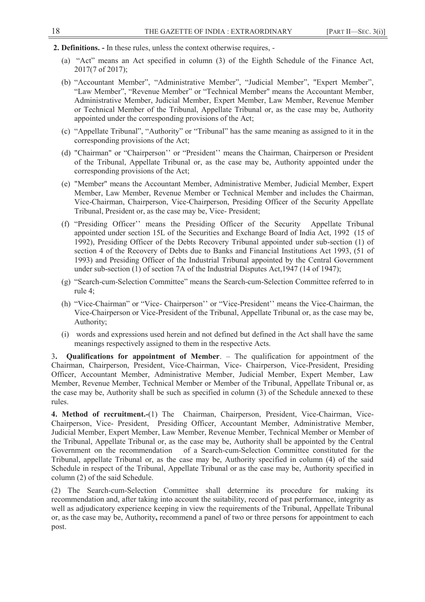- **2. Definitions.** In these rules, unless the context otherwise requires,
	- (a) "Act" means an Act specified in column (3) of the Eighth Schedule of the Finance Act, 2017(7 of 2017);
	- (b) "Accountant Member", "Administrative Member", "Judicial Member", "Expert Member", "Law Member", "Revenue Member" or "Technical Member" means the Accountant Member, Administrative Member, Judicial Member, Expert Member, Law Member, Revenue Member or Technical Member of the Tribunal, Appellate Tribunal or, as the case may be, Authority appointed under the corresponding provisions of the Act;
	- (c) "Appellate Tribunal", "Authority" or "Tribunal" has the same meaning as assigned to it in the corresponding provisions of the Act;
	- (d) "Chairman" or "Chairperson'' or "President'' means the Chairman, Chairperson or President of the Tribunal, Appellate Tribunal or, as the case may be, Authority appointed under the corresponding provisions of the Act;
	- (e) "Member" means the Accountant Member, Administrative Member, Judicial Member, Expert Member, Law Member, Revenue Member or Technical Member and includes the Chairman, Vice-Chairman, Chairperson, Vice-Chairperson, Presiding Officer of the Security Appellate Tribunal, President or, as the case may be, Vice- President;
	- (f) "Presiding Officer'' means the Presiding Officer of the Security Appellate Tribunal appointed under section 15L of the Securities and Exchange Board of India Act, 1992 (15 of 1992), Presiding Officer of the Debts Recovery Tribunal appointed under sub-section (1) of section 4 of the Recovery of Debts due to Banks and Financial Institutions Act 1993, (51 of 1993) and Presiding Officer of the Industrial Tribunal appointed by the Central Government under sub-section (1) of section 7A of the Industrial Disputes Act,1947 (14 of 1947);
	- (g) "Search-cum-Selection Committee" means the Search-cum-Selection Committee referred to in rule 4;
	- (h) "Vice-Chairman" or "Vice- Chairperson'' or "Vice-President'' means the Vice-Chairman, the Vice-Chairperson or Vice-President of the Tribunal, Appellate Tribunal or, as the case may be, Authority;
	- (i) words and expressions used herein and not defined but defined in the Act shall have the same meanings respectively assigned to them in the respective Acts.

3**. Qualifications for appointment of Member**. – The qualification for appointment of the Chairman, Chairperson, President, Vice-Chairman, Vice- Chairperson, Vice-President, Presiding Officer, Accountant Member, Administrative Member, Judicial Member, Expert Member, Law Member, Revenue Member, Technical Member or Member of the Tribunal, Appellate Tribunal or, as the case may be, Authority shall be such as specified in column (3) of the Schedule annexed to these rules.

**4. Method of recruitment.-**(1) The Chairman, Chairperson, President, Vice-Chairman, Vice-Chairperson, Vice- President, Presiding Officer, Accountant Member, Administrative Member, Judicial Member, Expert Member, Law Member, Revenue Member, Technical Member or Member of the Tribunal, Appellate Tribunal or, as the case may be, Authority shall be appointed by the Central Government on the recommendation of a Search-cum-Selection Committee constituted for the Tribunal, appellate Tribunal or, as the case may be, Authority specified in column (4) of the said Schedule in respect of the Tribunal, Appellate Tribunal or as the case may be, Authority specified in column (2) of the said Schedule.

(2) The Search-cum-Selection Committee shall determine its procedure for making its recommendation and, after taking into account the suitability, record of past performance, integrity as well as adjudicatory experience keeping in view the requirements of the Tribunal, Appellate Tribunal or, as the case may be, Authority**,** recommend a panel of two or three persons for appointment to each post.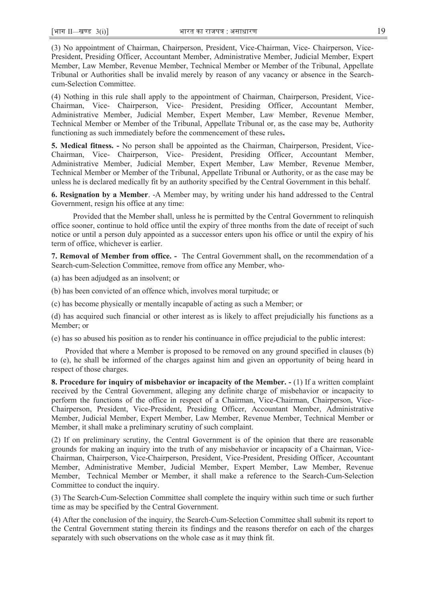(3) No appointment of Chairman, Chairperson, President, Vice-Chairman, Vice- Chairperson, Vice-President, Presiding Officer, Accountant Member, Administrative Member, Judicial Member, Expert Member, Law Member, Revenue Member, Technical Member or Member of the Tribunal, Appellate Tribunal or Authorities shall be invalid merely by reason of any vacancy or absence in the Searchcum-Selection Committee.

(4) Nothing in this rule shall apply to the appointment of Chairman, Chairperson, President, Vice-Chairman, Vice- Chairperson, Vice- President, Presiding Officer, Accountant Member, Administrative Member, Judicial Member, Expert Member, Law Member, Revenue Member, Technical Member or Member of the Tribunal, Appellate Tribunal or, as the case may be, Authority functioning as such immediately before the commencement of these rules**.** 

**5. Medical fitness. -** No person shall be appointed as the Chairman, Chairperson, President, Vice-Chairman, Vice- Chairperson, Vice- President, Presiding Officer, Accountant Member, Administrative Member, Judicial Member, Expert Member, Law Member, Revenue Member, Technical Member or Member of the Tribunal, Appellate Tribunal or Authority, or as the case may be unless he is declared medically fit by an authority specified by the Central Government in this behalf.

**6. Resignation by a Member**. -A Member may, by writing under his hand addressed to the Central Government, resign his office at any time:

 Provided that the Member shall, unless he is permitted by the Central Government to relinquish office sooner, continue to hold office until the expiry of three months from the date of receipt of such notice or until a person duly appointed as a successor enters upon his office or until the expiry of his term of office, whichever is earlier.

**7. Removal of Member from office. -** The Central Government shall**,** on the recommendation of a Search-cum-Selection Committee, remove from office any Member, who-

(a) has been adjudged as an insolvent; or

(b) has been convicted of an offence which, involves moral turpitude; or

(c) has become physically or mentally incapable of acting as such a Member; or

(d) has acquired such financial or other interest as is likely to affect prejudicially his functions as a Member; or

(e) has so abused his position as to render his continuance in office prejudicial to the public interest:

 Provided that where a Member is proposed to be removed on any ground specified in clauses (b) to (e), he shall be informed of the charges against him and given an opportunity of being heard in respect of those charges.

**8. Procedure for inquiry of misbehavior or incapacity of the Member. -** (1) If a written complaint received by the Central Government, alleging any definite charge of misbehavior or incapacity to perform the functions of the office in respect of a Chairman, Vice-Chairman, Chairperson, Vice-Chairperson, President, Vice-President, Presiding Officer, Accountant Member, Administrative Member, Judicial Member, Expert Member, Law Member, Revenue Member, Technical Member or Member, it shall make a preliminary scrutiny of such complaint.

(2) If on preliminary scrutiny, the Central Government is of the opinion that there are reasonable grounds for making an inquiry into the truth of any misbehavior or incapacity of a Chairman, Vice-Chairman, Chairperson, Vice-Chairperson, President, Vice-President, Presiding Officer, Accountant Member, Administrative Member, Judicial Member, Expert Member, Law Member, Revenue Member, Technical Member or Member, it shall make a reference to the Search-Cum-Selection Committee to conduct the inquiry.

(3) The Search-Cum-Selection Committee shall complete the inquiry within such time or such further time as may be specified by the Central Government.

(4) After the conclusion of the inquiry, the Search-Cum-Selection Committee shall submit its report to the Central Government stating therein its findings and the reasons therefor on each of the charges separately with such observations on the whole case as it may think fit.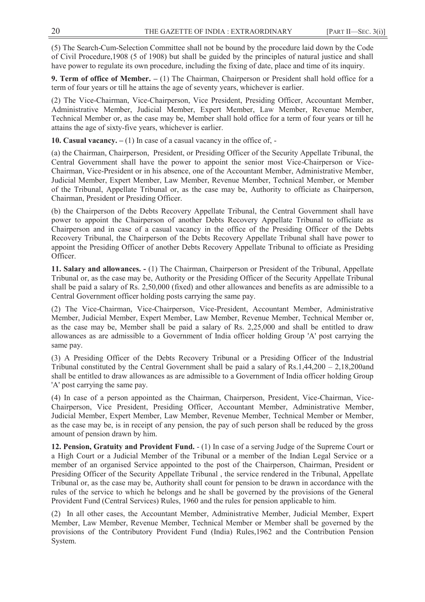(5) The Search-Cum-Selection Committee shall not be bound by the procedure laid down by the Code of Civil Procedure,1908 (5 of 1908) but shall be guided by the principles of natural justice and shall have power to regulate its own procedure, including the fixing of date, place and time of its inquiry.

**9. Term of office of Member. –** (1) The Chairman, Chairperson or President shall hold office for a term of four years or till he attains the age of seventy years, whichever is earlier.

(2) The Vice-Chairman, Vice-Chairperson, Vice President, Presiding Officer, Accountant Member, Administrative Member, Judicial Member, Expert Member, Law Member, Revenue Member, Technical Member or, as the case may be, Member shall hold office for a term of four years or till he attains the age of sixty-five years, whichever is earlier.

**10. Casual vacancy. –** (1) In case of a casual vacancy in the office of, -

(a) the Chairman, Chairperson, President, or Presiding Officer of the Security Appellate Tribunal, the Central Government shall have the power to appoint the senior most Vice-Chairperson or Vice-Chairman, Vice-President or in his absence, one of the Accountant Member, Administrative Member, Judicial Member, Expert Member, Law Member, Revenue Member, Technical Member, or Member of the Tribunal, Appellate Tribunal or, as the case may be, Authority to officiate as Chairperson, Chairman, President or Presiding Officer.

(b) the Chairperson of the Debts Recovery Appellate Tribunal, the Central Government shall have power to appoint the Chairperson of another Debts Recovery Appellate Tribunal to officiate as Chairperson and in case of a casual vacancy in the office of the Presiding Officer of the Debts Recovery Tribunal, the Chairperson of the Debts Recovery Appellate Tribunal shall have power to appoint the Presiding Officer of another Debts Recovery Appellate Tribunal to officiate as Presiding Officer.

**11. Salary and allowances. -** (1) The Chairman, Chairperson or President of the Tribunal, Appellate Tribunal or, as the case may be, Authority or the Presiding Officer of the Security Appellate Tribunal shall be paid a salary of Rs. 2,50,000 (fixed) and other allowances and benefits as are admissible to a Central Government officer holding posts carrying the same pay.

(2) The Vice-Chairman, Vice-Chairperson, Vice-President, Accountant Member, Administrative Member, Judicial Member, Expert Member, Law Member, Revenue Member, Technical Member or, as the case may be, Member shall be paid a salary of Rs. 2,25,000 and shall be entitled to draw allowances as are admissible to a Government of India officer holding Group 'A' post carrying the same pay.

(3) A Presiding Officer of the Debts Recovery Tribunal or a Presiding Officer of the Industrial Tribunal constituted by the Central Government shall be paid a salary of Rs.1,44,200 – 2,18,200and shall be entitled to draw allowances as are admissible to a Government of India officer holding Group 'A' post carrying the same pay.

(4) In case of a person appointed as the Chairman, Chairperson, President, Vice-Chairman, Vice-Chairperson, Vice President, Presiding Officer, Accountant Member, Administrative Member, Judicial Member, Expert Member, Law Member, Revenue Member, Technical Member or Member, as the case may be, is in receipt of any pension, the pay of such person shall be reduced by the gross amount of pension drawn by him.

**12. Pension, Gratuity and Provident Fund.** - (1) In case of a serving Judge of the Supreme Court or a High Court or a Judicial Member of the Tribunal or a member of the Indian Legal Service or a member of an organised Service appointed to the post of the Chairperson, Chairman, President or Presiding Officer of the Security Appellate Tribunal , the service rendered in the Tribunal, Appellate Tribunal or, as the case may be, Authority shall count for pension to be drawn in accordance with the rules of the service to which he belongs and he shall be governed by the provisions of the General Provident Fund (Central Services) Rules, 1960 and the rules for pension applicable to him.

(2) In all other cases, the Accountant Member, Administrative Member, Judicial Member, Expert Member, Law Member, Revenue Member, Technical Member or Member shall be governed by the provisions of the Contributory Provident Fund (India) Rules,1962 and the Contribution Pension System.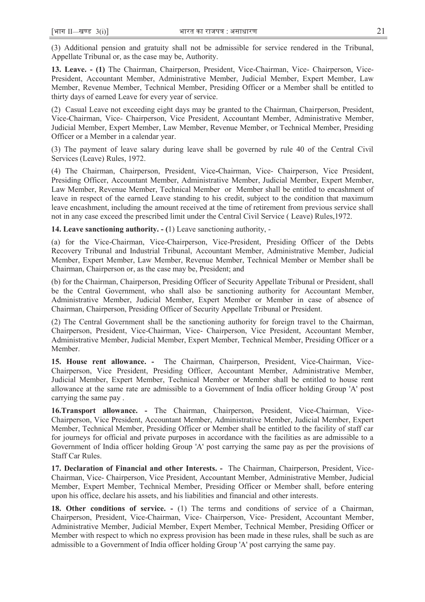(3) Additional pension and gratuity shall not be admissible for service rendered in the Tribunal, Appellate Tribunal or, as the case may be, Authority.

**13. Leave. - (1)** The Chairman, Chairperson, President, Vice-Chairman, Vice- Chairperson, Vice-President, Accountant Member, Administrative Member, Judicial Member, Expert Member, Law Member, Revenue Member, Technical Member, Presiding Officer or a Member shall be entitled to thirty days of earned Leave for every year of service.

(2) Casual Leave not exceeding eight days may be granted to the Chairman, Chairperson, President, Vice-Chairman, Vice- Chairperson, Vice President, Accountant Member, Administrative Member, Judicial Member, Expert Member, Law Member, Revenue Member, or Technical Member, Presiding Officer or a Member in a calendar year.

(3) The payment of leave salary during leave shall be governed by rule 40 of the Central Civil Services (Leave) Rules, 1972.

(4) The Chairman, Chairperson, President, Vice**-**Chairman, Vice- Chairperson, Vice President, Presiding Officer, Accountant Member, Administrative Member, Judicial Member, Expert Member, Law Member, Revenue Member, Technical Member or Member shall be entitled to encashment of leave in respect of the earned Leave standing to his credit, subject to the condition that maximum leave encashment, including the amount received at the time of retirement from previous service shall not in any case exceed the prescribed limit under the Central Civil Service ( Leave) Rules,1972.

**14. Leave sanctioning authority. - (**1) Leave sanctioning authority, -

(a) for the Vice-Chairman, Vice-Chairperson, Vice-President, Presiding Officer of the Debts Recovery Tribunal and Industrial Tribunal, Accountant Member, Administrative Member, Judicial Member, Expert Member, Law Member, Revenue Member, Technical Member or Member shall be Chairman, Chairperson or, as the case may be, President; and

(b) for the Chairman, Chairperson, Presiding Officer of Security Appellate Tribunal or President, shall be the Central Government, who shall also be sanctioning authority for Accountant Member, Administrative Member, Judicial Member, Expert Member or Member in case of absence of Chairman, Chairperson, Presiding Officer of Security Appellate Tribunal or President.

(2) The Central Government shall be the sanctioning authority for foreign travel to the Chairman, Chairperson, President, Vice-Chairman, Vice- Chairperson, Vice President, Accountant Member, Administrative Member, Judicial Member, Expert Member, Technical Member, Presiding Officer or a Member.

**15. House rent allowance. -** The Chairman, Chairperson, President, Vice-Chairman, Vice-Chairperson, Vice President, Presiding Officer, Accountant Member, Administrative Member, Judicial Member, Expert Member, Technical Member or Member shall be entitled to house rent allowance at the same rate are admissible to a Government of India officer holding Group 'A' post carrying the same pay .

**16.Transport allowance. -** The Chairman, Chairperson, President, Vice-Chairman, Vice-Chairperson, Vice President, Accountant Member, Administrative Member, Judicial Member, Expert Member, Technical Member, Presiding Officer or Member shall be entitled to the facility of staff car for journeys for official and private purposes in accordance with the facilities as are admissible to a Government of India officer holding Group 'A' post carrying the same pay as per the provisions of Staff Car Rules.

**17. Declaration of Financial and other Interests. -** The Chairman, Chairperson, President, Vice-Chairman, Vice- Chairperson, Vice President, Accountant Member, Administrative Member, Judicial Member, Expert Member, Technical Member, Presiding Officer or Member shall, before entering upon his office, declare his assets, and his liabilities and financial and other interests.

**18. Other conditions of service. -** (1) The terms and conditions of service of a Chairman, Chairperson, President, Vice-Chairman, Vice- Chairperson, Vice- President, Accountant Member, Administrative Member, Judicial Member, Expert Member, Technical Member, Presiding Officer or Member with respect to which no express provision has been made in these rules, shall be such as are admissible to a Government of India officer holding Group 'A' post carrying the same pay.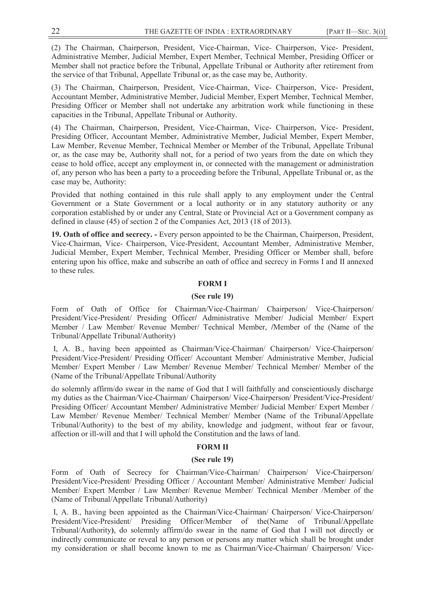(2) The Chairman, Chairperson, President, Vice-Chairman, Vice- Chairperson, Vice- President, Administrative Member, Judicial Member, Expert Member, Technical Member, Presiding Officer or Member shall not practice before the Tribunal, Appellate Tribunal or Authority after retirement from the service of that Tribunal, Appellate Tribunal or, as the case may be, Authority.

(3) The Chairman, Chairperson, President, Vice-Chairman, Vice- Chairperson, Vice- President, Accountant Member, Administrative Member, Judicial Member, Expert Member, Technical Member, Presiding Officer or Member shall not undertake any arbitration work while functioning in these capacities in the Tribunal, Appellate Tribunal or Authority.

(4) The Chairman, Chairperson, President, Vice-Chairman, Vice- Chairperson, Vice- President, Presiding Officer, Accountant Member, Administrative Member, Judicial Member, Expert Member, Law Member, Revenue Member, Technical Member or Member of the Tribunal, Appellate Tribunal or, as the case may be, Authority shall not, for a period of two years from the date on which they cease to hold office, accept any employment in, or connected with the management or administration of, any person who has been a party to a proceeding before the Tribunal, Appellate Tribunal or, as the case may be, Authority:

Provided that nothing contained in this rule shall apply to any employment under the Central Government or a State Government or a local authority or in any statutory authority or any corporation established by or under any Central, State or Provincial Act or a Government company as defined in clause (45) of section 2 of the Companies Act, 2013 (18 of 2013).

**19. Oath of office and secrecy. -** Every person appointed to be the Chairman, Chairperson, President, Vice-Chairman, Vice- Chairperson, Vice-President, Accountant Member, Administrative Member, Judicial Member, Expert Member, Technical Member, Presiding Officer or Member shall, before entering upon his office, make and subscribe an oath of office and secrecy in Forms I and II annexed to these rules.

#### **FORM I**

### **(See rule 19)**

Form of Oath of Office for Chairman/Vice-Chairman/ Chairperson/ Vice-Chairperson/ President/Vice-President/ Presiding Officer**/** Administrative Member/ Judicial Member/ Expert Member / Law Member/ Revenue Member/ Technical Member, **/**Member of the (Name of the Tribunal/Appellate Tribunal/Authority)

 I, A. B., having been appointed as Chairman/Vice-Chairman/ Chairperson/ Vice-Chairperson/ President/Vice-President/ Presiding Officer/ Accountant Member/ Administrative Member, Judicial Member/ Expert Member / Law Member/ Revenue Member/ Technical Member/ Member of the (Name of the Tribunal/Appellate Tribunal/Authority

do solemnly affirm/do swear in the name of God that I will faithfully and conscientiously discharge my duties as the Chairman/Vice-Chairman/ Chairperson/ Vice-Chairperson/ President/Vice-President/ Presiding Officer/ Accountant Member**/** Administrative Member/ Judicial Member/ Expert Member / Law Member/ Revenue Member/ Technical Member/ Member (Name of the Tribunal/Appellate Tribunal/Authority) to the best of my ability, knowledge and judgment, without fear or favour, affection or ill-will and that I will uphold the Constitution and the laws of land.

### **FORM II**

#### **(See rule 19)**

Form of Oath of Secrecy for Chairman/Vice-Chairman/ Chairperson/ Vice-Chairperson/ President/Vice-President/ Presiding Officer / Accountant Member/ Administrative Member/ Judicial Member/ Expert Member / Law Member/ Revenue Member/ Technical Member /Member of the (Name of Tribunal/Appellate Tribunal/Authority)

 I, A. B., having been appointed as the Chairman/Vice-Chairman/ Chairperson/ Vice-Chairperson/ President/Vice-President/ Presiding Officer/Member of the(Name of Tribunal/Appellate Tribunal/Authority**)**, do solemnly affirm/do swear in the name of God that I will not directly or indirectly communicate or reveal to any person or persons any matter which shall be brought under my consideration or shall become known to me as Chairman/Vice-Chairman/ Chairperson/ Vice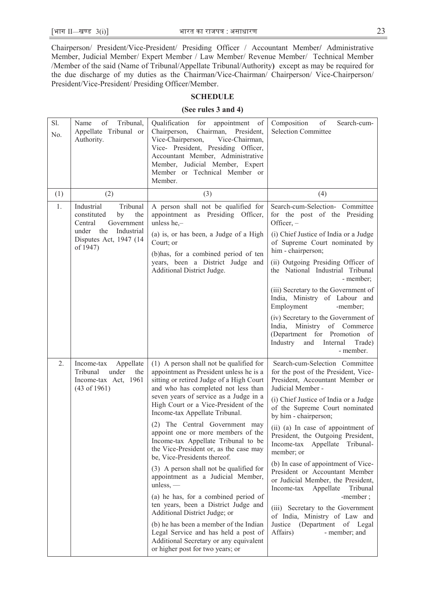Chairperson/ President/Vice-President/ Presiding Officer / Accountant Member**/** Administrative Member, Judicial Member/ Expert Member / Law Member/ Revenue Member/ Technical Member /Member of the said (Name of Tribunal/Appellate Tribunal/Authority**)** except as may be required for the due discharge of my duties as the Chairman/Vice-Chairman/ Chairperson/ Vice-Chairperson/ President/Vice-President/ Presiding Officer/Member.

### **SCHEDULE**

## **(See rules 3 and 4)**

| Sl.<br>No. | of<br>Tribunal,<br>Name<br>Appellate Tribunal or<br>Authority.                                                                      | Qualification<br>for<br>appointment of<br>Chairman,<br>Chairperson,<br>President,<br>Vice-Chairperson,<br>Vice-Chairman,<br>Vice- President, Presiding Officer,<br>Accountant Member, Administrative<br>Member, Judicial Member, Expert<br>Member or Technical Member or<br>Member. | Composition<br>$\sigma f$<br>Search-cum-<br><b>Selection Committee</b>                                                                                                                                    |
|------------|-------------------------------------------------------------------------------------------------------------------------------------|-------------------------------------------------------------------------------------------------------------------------------------------------------------------------------------------------------------------------------------------------------------------------------------|-----------------------------------------------------------------------------------------------------------------------------------------------------------------------------------------------------------|
| (1)        | (2)                                                                                                                                 | (3)                                                                                                                                                                                                                                                                                 | (4)                                                                                                                                                                                                       |
| 1.         | Industrial<br>Tribunal<br>constituted<br>the<br>by<br>Government<br>Central<br>under<br>the<br>Industrial<br>Disputes Act, 1947 (14 | A person shall not be qualified for<br>appointment as Presiding Officer,<br>unless he $, -$<br>(a) is, or has been, a Judge of a High<br>Court; or                                                                                                                                  | Search-cum-Selection- Committee<br>for the post of the Presiding<br>Officer, -<br>(i) Chief Justice of India or a Judge                                                                                   |
|            | of 1947)                                                                                                                            | (b) has, for a combined period of ten                                                                                                                                                                                                                                               | of Supreme Court nominated by<br>him - chairperson;                                                                                                                                                       |
|            |                                                                                                                                     | years, been a District Judge and<br>Additional District Judge.                                                                                                                                                                                                                      | (ii) Outgoing Presiding Officer of<br>the National Industrial Tribunal<br>- member;                                                                                                                       |
|            |                                                                                                                                     |                                                                                                                                                                                                                                                                                     | (iii) Secretary to the Government of<br>India, Ministry of Labour and<br>Employment<br>-member;                                                                                                           |
|            |                                                                                                                                     |                                                                                                                                                                                                                                                                                     | (iv) Secretary to the Government of<br>India, Ministry of Commerce<br>(Department for Promotion of<br>Industry<br>Internal<br>Trade)<br>and<br>- member.                                                  |
| 2.         | Income-tax<br>Appellate<br>Tribunal<br>under<br>the<br>Income-tax Act, 1961<br>$(43 \text{ of } 1961)$                              | (1) A person shall not be qualified for<br>appointment as President unless he is a<br>sitting or retired Judge of a High Court<br>and who has completed not less than<br>seven years of service as a Judge in a<br>High Court or a Vice-President of the                            | Search-cum-Selection Committee<br>for the post of the President, Vice-<br>President, Accountant Member or<br>Judicial Member -<br>(i) Chief Justice of India or a Judge<br>of the Supreme Court nominated |
|            |                                                                                                                                     | Income-tax Appellate Tribunal.<br>(2) The Central Government may<br>appoint one or more members of the<br>Income-tax Appellate Tribunal to be<br>the Vice-President or, as the case may<br>be, Vice-Presidents thereof.                                                             | by him - chairperson;<br>(ii) (a) In case of appointment of<br>President, the Outgoing President,<br>Appellate Tribunal-<br>Income-tax<br>member; or                                                      |
|            |                                                                                                                                     | (3) A person shall not be qualified for<br>appointment as a Judicial Member,<br>$unless, -$                                                                                                                                                                                         | (b) In case of appointment of Vice-<br>President or Accountant Member<br>or Judicial Member, the President,<br>Income-tax<br>Appellate<br>Tribunal                                                        |
|            |                                                                                                                                     | (a) he has, for a combined period of<br>ten years, been a District Judge and<br>Additional District Judge; or                                                                                                                                                                       | -member;<br>(iii) Secretary to the Government<br>of India, Ministry of Law and                                                                                                                            |
|            |                                                                                                                                     | (b) he has been a member of the Indian<br>Legal Service and has held a post of<br>Additional Secretary or any equivalent<br>or higher post for two years; or                                                                                                                        | Justice (Department of Legal<br>Affairs)<br>- member; and                                                                                                                                                 |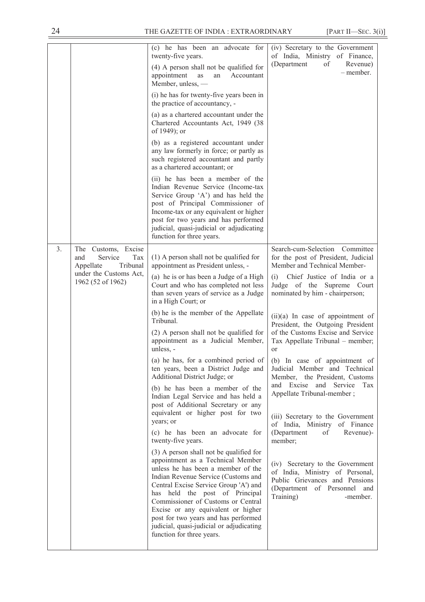|    |                                                                                                                            | (c) he has been an advocate for<br>twenty-five years.<br>(4) A person shall not be qualified for<br>appointment<br>Accountant<br>as<br>an<br>Member, unless, -<br>(i) he has for twenty-five years been in<br>the practice of accountancy, -<br>(a) as a chartered accountant under the<br>Chartered Accountants Act, 1949 (38)<br>of 1949); or<br>(b) as a registered accountant under<br>any law formerly in force; or partly as<br>such registered accountant and partly<br>as a chartered accountant; or<br>(ii) he has been a member of the<br>Indian Revenue Service (Income-tax<br>Service Group 'A') and has held the<br>post of Principal Commissioner of<br>Income-tax or any equivalent or higher<br>post for two years and has performed<br>judicial, quasi-judicial or adjudicating<br>function for three years.                                                                                                                                                                                                                                                                                                                                            | (iv) Secretary to the Government<br>of India, Ministry of Finance,<br>(Department<br>of<br>Revenue)<br>– member.                                                                                                                                                                                                                                                                                                                                                                                                                                                                                                                                                                                                                                                                                                                |
|----|----------------------------------------------------------------------------------------------------------------------------|--------------------------------------------------------------------------------------------------------------------------------------------------------------------------------------------------------------------------------------------------------------------------------------------------------------------------------------------------------------------------------------------------------------------------------------------------------------------------------------------------------------------------------------------------------------------------------------------------------------------------------------------------------------------------------------------------------------------------------------------------------------------------------------------------------------------------------------------------------------------------------------------------------------------------------------------------------------------------------------------------------------------------------------------------------------------------------------------------------------------------------------------------------------------------|---------------------------------------------------------------------------------------------------------------------------------------------------------------------------------------------------------------------------------------------------------------------------------------------------------------------------------------------------------------------------------------------------------------------------------------------------------------------------------------------------------------------------------------------------------------------------------------------------------------------------------------------------------------------------------------------------------------------------------------------------------------------------------------------------------------------------------|
| 3. | Excise<br>The<br>Customs,<br>Service<br>Tax<br>and<br>Tribunal<br>Appellate<br>under the Customs Act,<br>1962 (52 of 1962) | $(1)$ A person shall not be qualified for<br>appointment as President unless, -<br>(a) he is or has been a Judge of a High<br>Court and who has completed not less<br>than seven years of service as a Judge<br>in a High Court; or<br>(b) he is the member of the Appellate<br>Tribunal.<br>(2) A person shall not be qualified for<br>appointment as a Judicial Member,<br>unless, -<br>(a) he has, for a combined period of<br>ten years, been a District Judge and<br>Additional District Judge; or<br>(b) he has been a member of the<br>Indian Legal Service and has held a<br>post of Additional Secretary or any<br>equivalent or higher post for two<br>years; or<br>(c) he has been an advocate for<br>twenty-five years.<br>(3) A person shall not be qualified for<br>appointment as a Technical Member<br>unless he has been a member of the<br>Indian Revenue Service (Customs and<br>Central Excise Service Group 'A') and<br>has held the post of Principal<br>Commissioner of Customs or Central<br>Excise or any equivalent or higher<br>post for two years and has performed<br>judicial, quasi-judicial or adjudicating<br>function for three years. | Search-cum-Selection Committee<br>for the post of President, Judicial<br>Member and Technical Member-<br>Chief Justice of India or a<br>(i)<br>Judge of the Supreme Court<br>nominated by him - chairperson;<br>$(ii)(a)$ In case of appointment of<br>President, the Outgoing President<br>of the Customs Excise and Service<br>Tax Appellate Tribunal - member;<br>or<br>(b) In case of appointment of<br>Judicial Member and Technical<br>Member, the President, Customs<br>and Excise and Service<br>Tax<br>Appellate Tribunal-member;<br>(iii) Secretary to the Government<br>of India, Ministry of Finance<br>(Department<br>of<br>Revenue)-<br>member;<br>(iv) Secretary to the Government<br>of India, Ministry of Personal,<br>Public Grievances and Pensions<br>(Department of Personnel and<br>Training)<br>-member. |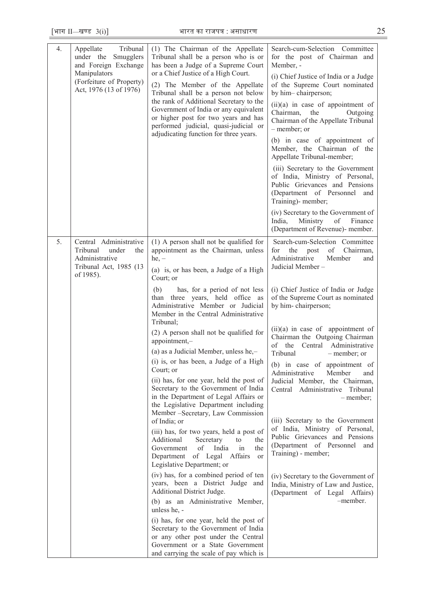| 4. | Tribunal<br>Appellate<br>under the Smugglers<br>and Foreign Exchange<br>Manipulators<br>(Forfeiture of Property)<br>Act, 1976 (13 of 1976) | (1) The Chairman of the Appellate<br>Tribunal shall be a person who is or<br>has been a Judge of a Supreme Court<br>or a Chief Justice of a High Court.<br>(2) The Member of the Appellate<br>Tribunal shall be a person not below<br>the rank of Additional Secretary to the<br>Government of India or any equivalent<br>or higher post for two years and has<br>performed judicial, quasi-judicial or<br>adjudicating function for three years. | Search-cum-Selection Committee<br>for the post of Chairman and<br>Member, -<br>(i) Chief Justice of India or a Judge<br>of the Supreme Court nominated<br>by him-chairperson;<br>$(ii)(a)$ in case of appointment of<br>Chairman,<br>the<br>Outgoing<br>Chairman of the Appellate Tribunal<br>- member; or<br>(b) in case of appointment of<br>Member, the Chairman of the<br>Appellate Tribunal-member;<br>(iii) Secretary to the Government<br>of India, Ministry of Personal,<br>Public Grievances and Pensions<br>(Department of Personnel and<br>Training)- member;<br>(iv) Secretary to the Government of<br>India,<br>of<br>Finance<br>Ministry<br>(Department of Revenue)- member. |
|----|--------------------------------------------------------------------------------------------------------------------------------------------|---------------------------------------------------------------------------------------------------------------------------------------------------------------------------------------------------------------------------------------------------------------------------------------------------------------------------------------------------------------------------------------------------------------------------------------------------|--------------------------------------------------------------------------------------------------------------------------------------------------------------------------------------------------------------------------------------------------------------------------------------------------------------------------------------------------------------------------------------------------------------------------------------------------------------------------------------------------------------------------------------------------------------------------------------------------------------------------------------------------------------------------------------------|
|    |                                                                                                                                            |                                                                                                                                                                                                                                                                                                                                                                                                                                                   |                                                                                                                                                                                                                                                                                                                                                                                                                                                                                                                                                                                                                                                                                            |
| 5. | Central Administrative<br>Tribunal<br>under<br>the<br>Administrative<br>Tribunal Act, 1985 (13<br>of 1985).                                | (1) A person shall not be qualified for<br>appointment as the Chairman, unless<br>$he, -$<br>(a) is, or has been, a Judge of a High<br>Court; or                                                                                                                                                                                                                                                                                                  | Search-cum-Selection Committee<br>Chairman,<br>for<br>of<br>the<br>post<br>Administrative<br>Member<br>and<br>Judicial Member-                                                                                                                                                                                                                                                                                                                                                                                                                                                                                                                                                             |
|    |                                                                                                                                            | (b)<br>has, for a period of not less<br>than three years, held office as<br>Administrative Member or Judicial<br>Member in the Central Administrative<br>Tribunal;                                                                                                                                                                                                                                                                                | (i) Chief Justice of India or Judge<br>of the Supreme Court as nominated<br>by him-chairperson;                                                                                                                                                                                                                                                                                                                                                                                                                                                                                                                                                                                            |
|    |                                                                                                                                            | (2) A person shall not be qualified for<br>appointment,-<br>(a) as a Judicial Member, unless he,-                                                                                                                                                                                                                                                                                                                                                 | $(ii)(a)$ in case of appointment of<br>Chairman the Outgoing Chairman<br>the Central Administrative<br>of<br>Tribunal<br>– member; or                                                                                                                                                                                                                                                                                                                                                                                                                                                                                                                                                      |
|    |                                                                                                                                            | (i) is, or has been, a Judge of a High<br>Court; or<br>(ii) has, for one year, held the post of<br>Secretary to the Government of India<br>in the Department of Legal Affairs or<br>the Legislative Department including                                                                                                                                                                                                                          | (b) in case of appointment of<br>Administrative<br>Member<br>and<br>Judicial Member, the Chairman,<br>Central Administrative Tribunal<br>– member;                                                                                                                                                                                                                                                                                                                                                                                                                                                                                                                                         |
|    |                                                                                                                                            | Member -Secretary, Law Commission<br>of India; or                                                                                                                                                                                                                                                                                                                                                                                                 | (iii) Secretary to the Government                                                                                                                                                                                                                                                                                                                                                                                                                                                                                                                                                                                                                                                          |
|    |                                                                                                                                            | (iii) has, for two years, held a post of<br>Additional<br>Secretary<br>to<br>the<br>of<br>India<br>Government<br>in<br>the<br>Department of Legal Affairs<br>or<br>Legislative Department; or                                                                                                                                                                                                                                                     | of India, Ministry of Personal,<br>Public Grievances and Pensions<br>(Department of Personnel<br>and<br>Training) - member;                                                                                                                                                                                                                                                                                                                                                                                                                                                                                                                                                                |
|    |                                                                                                                                            | (iv) has, for a combined period of ten<br>years, been a District Judge and<br>Additional District Judge.                                                                                                                                                                                                                                                                                                                                          | (iv) Secretary to the Government of<br>India, Ministry of Law and Justice,<br>(Department of Legal Affairs)                                                                                                                                                                                                                                                                                                                                                                                                                                                                                                                                                                                |
|    |                                                                                                                                            | (b) as an Administrative Member,<br>unless he, -                                                                                                                                                                                                                                                                                                                                                                                                  | -member.                                                                                                                                                                                                                                                                                                                                                                                                                                                                                                                                                                                                                                                                                   |
|    |                                                                                                                                            | (i) has, for one year, held the post of<br>Secretary to the Government of India<br>or any other post under the Central<br>Government or a State Government<br>and carrying the scale of pay which is                                                                                                                                                                                                                                              |                                                                                                                                                                                                                                                                                                                                                                                                                                                                                                                                                                                                                                                                                            |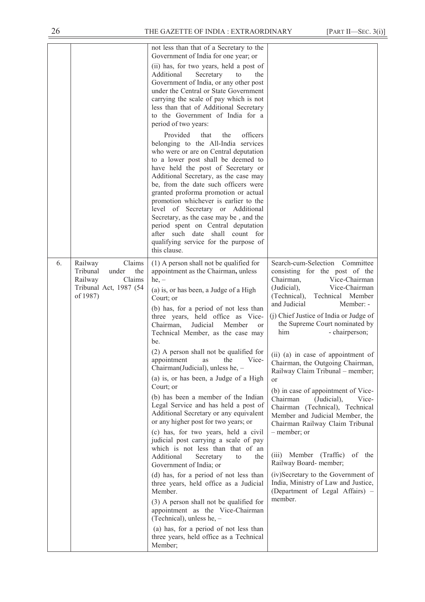|    |                                                                                                          | not less than that of a Secretary to the<br>Government of India for one year; or<br>(ii) has, for two years, held a post of                                                                                                                                                                                                                                                                                                                                                                                                                                                                                                                                                                                                                                                                                                                                                                                                                                                                                                                                                                                                                                                       |                                                                                                                                                                                                                                                                                                                                                                                                                                                                                                                                                                                                                                                                                                                                                                                                                          |
|----|----------------------------------------------------------------------------------------------------------|-----------------------------------------------------------------------------------------------------------------------------------------------------------------------------------------------------------------------------------------------------------------------------------------------------------------------------------------------------------------------------------------------------------------------------------------------------------------------------------------------------------------------------------------------------------------------------------------------------------------------------------------------------------------------------------------------------------------------------------------------------------------------------------------------------------------------------------------------------------------------------------------------------------------------------------------------------------------------------------------------------------------------------------------------------------------------------------------------------------------------------------------------------------------------------------|--------------------------------------------------------------------------------------------------------------------------------------------------------------------------------------------------------------------------------------------------------------------------------------------------------------------------------------------------------------------------------------------------------------------------------------------------------------------------------------------------------------------------------------------------------------------------------------------------------------------------------------------------------------------------------------------------------------------------------------------------------------------------------------------------------------------------|
|    |                                                                                                          | Additional<br>Secretary<br>to<br>the<br>Government of India, or any other post<br>under the Central or State Government<br>carrying the scale of pay which is not<br>less than that of Additional Secretary<br>to the Government of India for a<br>period of two years:                                                                                                                                                                                                                                                                                                                                                                                                                                                                                                                                                                                                                                                                                                                                                                                                                                                                                                           |                                                                                                                                                                                                                                                                                                                                                                                                                                                                                                                                                                                                                                                                                                                                                                                                                          |
|    |                                                                                                          | Provided<br>officers<br>that<br>the<br>belonging to the All-India services<br>who were or are on Central deputation<br>to a lower post shall be deemed to<br>have held the post of Secretary or<br>Additional Secretary, as the case may<br>be, from the date such officers were<br>granted proforma promotion or actual<br>promotion whichever is earlier to the<br>level of Secretary or Additional<br>Secretary, as the case may be, and the<br>period spent on Central deputation<br>after such date shall count for<br>qualifying service for the purpose of<br>this clause.                                                                                                                                                                                                                                                                                                                                                                                                                                                                                                                                                                                                 |                                                                                                                                                                                                                                                                                                                                                                                                                                                                                                                                                                                                                                                                                                                                                                                                                          |
| 6. | Claims<br>Railway<br>Tribunal<br>the<br>under<br>Railway<br>Claims<br>Tribunal Act, 1987 (54<br>of 1987) | $(1)$ A person shall not be qualified for<br>appointment as the Chairman, unless<br>$he, -$<br>(a) is, or has been, a Judge of a High<br>Court; or<br>(b) has, for a period of not less than<br>three years, held office as Vice-<br>Judicial<br>Chairman,<br>Member<br><sub>or</sub><br>Technical Member, as the case may<br>be.<br>(2) A person shall not be qualified for<br>appointment<br>the<br>Vice-<br>as<br>Chairman(Judicial), unless he, -<br>(a) is, or has been, a Judge of a High<br>Court: or<br>(b) has been a member of the Indian<br>Legal Service and has held a post of<br>Additional Secretary or any equivalent<br>or any higher post for two years; or<br>(c) has, for two years, held a civil<br>judicial post carrying a scale of pay<br>which is not less than that of an<br>Additional<br>Secretary<br>the<br>to<br>Government of India; or<br>(d) has, for a period of not less than<br>three years, held office as a Judicial<br>Member.<br>(3) A person shall not be qualified for<br>appointment as the Vice-Chairman<br>(Technical), unless he, -<br>(a) has, for a period of not less than<br>three years, held office as a Technical<br>Member; | Search-cum-Selection Committee<br>consisting for the post of the<br>Chairman,<br>Vice-Chairman<br>Vice-Chairman<br>(Judicial),<br>(Technical),<br>Technical Member<br>and Judicial<br>Member: -<br>(j) Chief Justice of India or Judge of<br>the Supreme Court nominated by<br>him<br>- chairperson;<br>(ii) (a) in case of appointment of<br>Chairman, the Outgoing Chairman,<br>Railway Claim Tribunal - member;<br>or<br>(b) in case of appointment of Vice-<br>Chairman<br>(Judicial),<br>Vice-<br>Chairman (Technical), Technical<br>Member and Judicial Member, the<br>Chairman Railway Claim Tribunal<br>- member; or<br>(Traffic) of the<br>Member<br>(iii)<br>Railway Board- member;<br>(iv)Secretary to the Government of<br>India, Ministry of Law and Justice,<br>(Department of Legal Affairs) -<br>member. |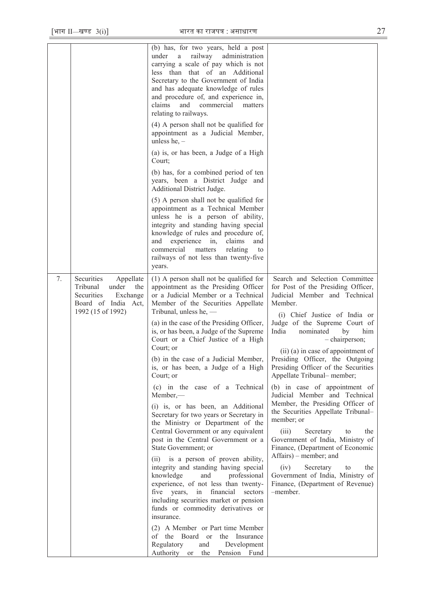|    |                                                                                                                           | (b) has, for two years, held a post<br>railway<br>administration<br>under<br>a<br>carrying a scale of pay which is not<br>less than that of an Additional<br>Secretary to the Government of India<br>and has adequate knowledge of rules<br>and procedure of, and experience in,<br>claims<br>commercial<br>and<br>matters<br>relating to railways.<br>$(4)$ A person shall not be qualified for<br>appointment as a Judicial Member,<br>unless he, $-$<br>(a) is, or has been, a Judge of a High |                                                                                                                                                   |
|----|---------------------------------------------------------------------------------------------------------------------------|---------------------------------------------------------------------------------------------------------------------------------------------------------------------------------------------------------------------------------------------------------------------------------------------------------------------------------------------------------------------------------------------------------------------------------------------------------------------------------------------------|---------------------------------------------------------------------------------------------------------------------------------------------------|
|    |                                                                                                                           | Court;<br>(b) has, for a combined period of ten<br>years, been a District Judge and<br>Additional District Judge.                                                                                                                                                                                                                                                                                                                                                                                 |                                                                                                                                                   |
|    |                                                                                                                           | (5) A person shall not be qualified for<br>appointment as a Technical Member<br>unless he is a person of ability,<br>integrity and standing having special<br>knowledge of rules and procedure of,<br>experience<br>claims<br>and<br>in,<br>and<br>commercial<br>matters<br>relating<br>to<br>railways of not less than twenty-five<br>years.                                                                                                                                                     |                                                                                                                                                   |
| 7. | Securities<br>Appellate<br>Tribunal<br>under<br>the<br>Securities<br>Exchange<br>Board of India Act,<br>1992 (15 of 1992) | $(1)$ A person shall not be qualified for<br>appointment as the Presiding Officer<br>or a Judicial Member or a Technical<br>Member of the Securities Appellate<br>Tribunal, unless he, $-$                                                                                                                                                                                                                                                                                                        | Search and Selection Committee<br>for Post of the Presiding Officer,<br>Judicial Member and Technical<br>Member.<br>(i) Chief Justice of India or |
|    |                                                                                                                           | (a) in the case of the Presiding Officer,<br>is, or has been, a Judge of the Supreme<br>Court or a Chief Justice of a High<br>Court; or                                                                                                                                                                                                                                                                                                                                                           | Judge of the Supreme Court of<br>India<br>nominated<br>by<br>him<br>- chairperson;<br>(ii) (a) in case of appointment of                          |
|    |                                                                                                                           | (b) in the case of a Judicial Member,<br>is, or has been, a Judge of a High<br>Court; or                                                                                                                                                                                                                                                                                                                                                                                                          | Presiding Officer, the Outgoing<br>Presiding Officer of the Securities<br>Appellate Tribunal- member;                                             |
|    |                                                                                                                           | (c) in the case of a Technical<br>$Member, -$<br>(i) is, or has been, an Additional                                                                                                                                                                                                                                                                                                                                                                                                               | (b) in case of appointment of<br>Judicial Member and Technical<br>Member, the Presiding Officer of<br>the Securities Appellate Tribunal-          |
|    |                                                                                                                           | Secretary for two years or Secretary in<br>the Ministry or Department of the<br>Central Government or any equivalent<br>post in the Central Government or a<br>State Government; or                                                                                                                                                                                                                                                                                                               | member; or<br>(iii)<br>Secretary<br>the<br>to<br>Government of India, Ministry of<br>Finance, (Department of Economic                             |
|    |                                                                                                                           | (ii) is a person of proven ability,<br>integrity and standing having special<br>knowledge<br>professional<br>and<br>experience, of not less than twenty-<br>five years,<br>in financial<br>sectors<br>including securities market or pension<br>funds or commodity derivatives or<br>insurance.                                                                                                                                                                                                   | Affairs) – member; and<br>(iv)<br>Secretary<br>the<br>to<br>Government of India, Ministry of<br>Finance, (Department of Revenue)<br>-member.      |
|    |                                                                                                                           | (2) A Member or Part time Member<br>of the Board<br>Insurance<br><sub>or</sub><br>the<br>Regulatory<br>and<br>Development<br>Authority or<br>the<br>Pension Fund                                                                                                                                                                                                                                                                                                                                  |                                                                                                                                                   |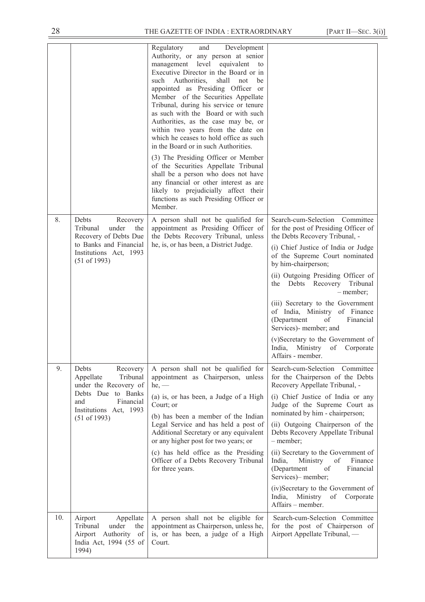|     |                                                                                                                                                         | Regulatory<br>and<br>Development<br>Authority, or any person at senior<br>management level<br>equivalent<br>to<br>Executive Director in the Board or in<br>such Authorities,<br>shall<br>be<br>not<br>appointed as Presiding Officer or<br>Member of the Securities Appellate<br>Tribunal, during his service or tenure<br>as such with the Board or with such<br>Authorities, as the case may be, or<br>within two years from the date on<br>which he ceases to hold office as such<br>in the Board or in such Authorities.<br>(3) The Presiding Officer or Member<br>of the Securities Appellate Tribunal<br>shall be a person who does not have<br>any financial or other interest as are<br>likely to prejudicially affect their<br>functions as such Presiding Officer or<br>Member. |                                                                                                                                                                                                                                                                                                                                                                                                                                                                                                                                            |
|-----|---------------------------------------------------------------------------------------------------------------------------------------------------------|-------------------------------------------------------------------------------------------------------------------------------------------------------------------------------------------------------------------------------------------------------------------------------------------------------------------------------------------------------------------------------------------------------------------------------------------------------------------------------------------------------------------------------------------------------------------------------------------------------------------------------------------------------------------------------------------------------------------------------------------------------------------------------------------|--------------------------------------------------------------------------------------------------------------------------------------------------------------------------------------------------------------------------------------------------------------------------------------------------------------------------------------------------------------------------------------------------------------------------------------------------------------------------------------------------------------------------------------------|
| 8.  | Debts<br>Recovery<br>Tribunal<br>under<br>the<br>Recovery of Debts Due<br>to Banks and Financial<br>Institutions Act, 1993<br>(51 of 1993)              | A person shall not be qualified for<br>appointment as Presiding Officer of<br>the Debts Recovery Tribunal, unless<br>he, is, or has been, a District Judge.                                                                                                                                                                                                                                                                                                                                                                                                                                                                                                                                                                                                                               | Search-cum-Selection Committee<br>for the post of Presiding Officer of<br>the Debts Recovery Tribunal, -<br>(i) Chief Justice of India or Judge<br>of the Supreme Court nominated<br>by him-chairperson;<br>(ii) Outgoing Presiding Officer of<br>Tribunal<br>Debts Recovery<br>the<br>- member;<br>(iii) Secretary to the Government<br>of India, Ministry of Finance<br>(Department<br>of<br>Financial<br>Services)- member; and<br>(v)Secretary to the Government of<br>India, Ministry<br>of<br>Corporate<br>Affairs - member.         |
| 9.  | Debts<br>Recovery<br>Tribunal<br>Appellate<br>under the Recovery of<br>Debts Due to Banks<br>and<br>Financial<br>Institutions Act, 1993<br>(51 of 1993) | A person shall not be qualified for<br>appointment as Chairperson, unless<br>$he,$ —<br>(a) is, or has been, a Judge of a High<br>Court; or<br>(b) has been a member of the Indian<br>Legal Service and has held a post of<br>Additional Secretary or any equivalent<br>or any higher post for two years; or<br>(c) has held office as the Presiding<br>Officer of a Debts Recovery Tribunal<br>for three years.                                                                                                                                                                                                                                                                                                                                                                          | Search-cum-Selection Committee<br>for the Chairperson of the Debts<br>Recovery Appellate Tribunal, -<br>(i) Chief Justice of India or any<br>Judge of the Supreme Court as<br>nominated by him - chairperson;<br>(ii) Outgoing Chairperson of the<br>Debts Recovery Appellate Tribunal<br>- member;<br>(ii) Secretary to the Government of<br>Ministry<br>India,<br>Finance<br>of<br>(Department<br>Financial<br>of<br>Services)- member;<br>(iv)Secretary to the Government of<br>India,<br>Ministry<br>of Corporate<br>Affairs – member. |
| 10. | Appellate<br>Airport<br>Tribunal<br>under<br>the<br>Authority of<br>Airport<br>India Act, 1994 (55 of<br>1994)                                          | A person shall not be eligible for<br>appointment as Chairperson, unless he,<br>is, or has been, a judge of a High<br>Court.                                                                                                                                                                                                                                                                                                                                                                                                                                                                                                                                                                                                                                                              | Search-cum-Selection Committee<br>for the post of Chairperson of<br>Airport Appellate Tribunal, -                                                                                                                                                                                                                                                                                                                                                                                                                                          |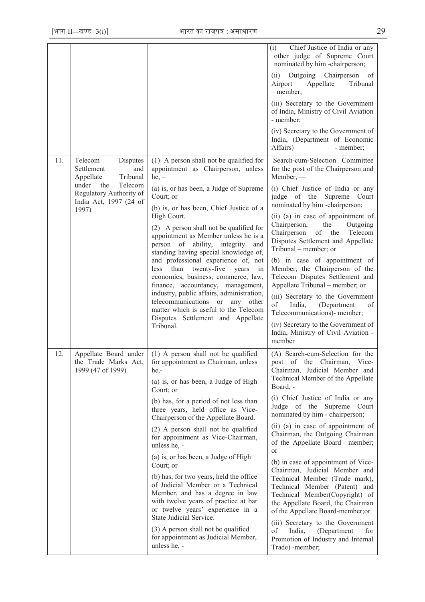|     |                                                                                                                                                            |                                                                                                                                                                                                                                                                                                                                                                                                                                                                                                                                                                                                                                                                                                                                        | Chief Justice of India or any<br>(i)<br>other judge of Supreme Court<br>nominated by him -chairperson;<br>Outgoing Chairperson of<br>(ii)<br>Airport<br>Appellate<br>Tribunal<br>- member;<br>(iii) Secretary to the Government<br>of India, Ministry of Civil Aviation<br>- member:<br>(iv) Secretary to the Government of<br>India, (Department of Economic<br>Affairs)<br>- member;                                                                                                                                                                                                                                                                                                                                                                              |
|-----|------------------------------------------------------------------------------------------------------------------------------------------------------------|----------------------------------------------------------------------------------------------------------------------------------------------------------------------------------------------------------------------------------------------------------------------------------------------------------------------------------------------------------------------------------------------------------------------------------------------------------------------------------------------------------------------------------------------------------------------------------------------------------------------------------------------------------------------------------------------------------------------------------------|---------------------------------------------------------------------------------------------------------------------------------------------------------------------------------------------------------------------------------------------------------------------------------------------------------------------------------------------------------------------------------------------------------------------------------------------------------------------------------------------------------------------------------------------------------------------------------------------------------------------------------------------------------------------------------------------------------------------------------------------------------------------|
| 11. | Telecom<br>Disputes<br>Settlement<br>and<br>Appellate<br>Tribunal<br>Telecom<br>under<br>the<br>Regulatory Authority of<br>India Act, 1997 (24 of<br>1997) | (1) A person shall not be qualified for<br>appointment as Chairperson, unless<br>$he, -$<br>(a) is, or has been, a Judge of Supreme<br>Court; or<br>(b) is, or has been, Chief Justice of a<br>High Court.<br>(2) A person shall not be qualified for<br>appointment as Member unless he is a<br>person of ability, integrity<br>and<br>standing having special knowledge of,<br>and professional experience of, not<br>than twenty-five<br>less<br>years<br>in<br>economics, business, commerce, law,<br>finance, accountancy, management,<br>industry, public affairs, administration,<br>telecommunications or any<br>other<br>matter which is useful to the Telecom<br>Disputes Settlement and Appellate<br>Tribunal.              | Search-cum-Selection Committee<br>for the post of the Chairperson and<br>$M$ ember, —<br>(i) Chief Justice of India or any<br>judge of the<br>Supreme<br>Court<br>nominated by him -chairperson;<br>(ii) (a) in case of appointment of<br>Chairperson,<br>the<br>Outgoing<br>Chairperson<br>of the<br>Telecom<br>Disputes Settlement and Appellate<br>Tribunal – member; or<br>(b) in case of appointment of<br>Member, the Chairperson of the<br>Telecom Disputes Settlement and<br>Appellate Tribunal – member; or<br>(iii) Secretary to the Government<br>of<br>India,<br>(Department<br>of<br>Telecommunications)- member;<br>(iv) Secretary to the Government of<br>India, Ministry of Civil Aviation -<br>member                                              |
| 12. | Appellate Board under<br>the Trade Marks Act,<br>1999 (47 of 1999)                                                                                         | (1) A person shall not be qualified<br>for appointment as Chairman, unless<br>he,-<br>(a) is, or has been, a Judge of High<br>Court; or<br>(b) has, for a period of not less than<br>three years, held office as Vice-<br>Chairperson of the Appellate Board.<br>(2) A person shall not be qualified<br>for appointment as Vice-Chairman,<br>unless he, -<br>(a) is, or has been, a Judge of High<br>Court; or<br>(b) has, for two years, held the office<br>of Judicial Member or a Technical<br>Member, and has a degree in law<br>with twelve years of practice at bar<br>or twelve years' experience in a<br>State Judicial Service.<br>(3) A person shall not be qualified<br>for appointment as Judicial Member,<br>unless he, - | (A) Search-cum-Selection for the<br>post of the Chairman, Vice-<br>Chairman, Judicial Member and<br>Technical Member of the Appellate<br>Board, -<br>(i) Chief Justice of India or any<br>Judge of the Supreme Court<br>nominated by him - chairperson;<br>(ii) (a) in case of appointment of<br>Chairman, the Outgoing Chairman<br>of the Appellate Board- member;<br>or<br>(b) in case of appointment of Vice-<br>Chairman, Judicial Member and<br>Technical Member (Trade mark),<br>Technical Member (Patent) and<br>Technical Member(Copyright) of<br>the Appellate Board, the Chairman<br>of the Appellate Board-member;or<br>(iii) Secretary to the Government<br>of<br>India,<br>(Department<br>for<br>Promotion of Industry and Internal<br>Trade) -member; |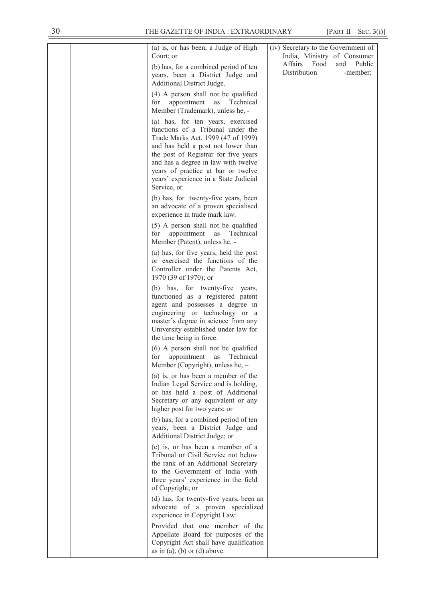|  | (a) is, or has been, a Judge of High<br>Court; or<br>(b) has, for a combined period of ten<br>years, been a District Judge and<br>Additional District Judge.                                                                                                                                                                    | (iv) Secretary to the Government of<br>India, Ministry of Consumer<br>Affairs Food<br>Public<br>and<br>Distribution<br>-member; |
|--|---------------------------------------------------------------------------------------------------------------------------------------------------------------------------------------------------------------------------------------------------------------------------------------------------------------------------------|---------------------------------------------------------------------------------------------------------------------------------|
|  | (4) A person shall not be qualified<br>appointment<br>Technical<br>for<br>as<br>Member (Trademark), unless he, -                                                                                                                                                                                                                |                                                                                                                                 |
|  | (a) has, for ten years, exercised<br>functions of a Tribunal under the<br>Trade Marks Act, 1999 (47 of 1999)<br>and has held a post not lower than<br>the post of Registrar for five years<br>and has a degree in law with twelve<br>years of practice at bar or twelve<br>years' experience in a State Judicial<br>Service, or |                                                                                                                                 |
|  | (b) has, for twenty-five years, been<br>an advocate of a proven specialised<br>experience in trade mark law.                                                                                                                                                                                                                    |                                                                                                                                 |
|  | (5) A person shall not be qualified<br>for<br>appointment as<br>Technical<br>Member (Patent), unless he, -                                                                                                                                                                                                                      |                                                                                                                                 |
|  | (a) has, for five years, held the post<br>or exercised the functions of the<br>Controller under the Patents Act,<br>1970 (39 of 1970); or                                                                                                                                                                                       |                                                                                                                                 |
|  | (b) has, for twenty-five years,<br>functioned as a registered patent<br>agent and possesses a degree in<br>engineering or technology or a<br>master's degree in science from any<br>University established under law for<br>the time being in force.                                                                            |                                                                                                                                 |
|  | (6) A person shall not be qualified<br>for<br>Technical<br>appointment<br>as<br>Member (Copyright), unless he, -                                                                                                                                                                                                                |                                                                                                                                 |
|  | (a) is, or has been a member of the<br>Indian Legal Service and is holding,<br>or has held a post of Additional<br>Secretary or any equivalent or any<br>higher post for two years; or                                                                                                                                          |                                                                                                                                 |
|  | (b) has, for a combined period of ten<br>years, been a District Judge and<br>Additional District Judge; or                                                                                                                                                                                                                      |                                                                                                                                 |
|  | (c) is, or has been a member of a<br>Tribunal or Civil Service not below<br>the rank of an Additional Secretary<br>to the Government of India with<br>three years' experience in the field<br>of Copyright; or                                                                                                                  |                                                                                                                                 |
|  | (d) has, for twenty-five years, been an<br>advocate of a proven specialized<br>experience in Copyright Law:                                                                                                                                                                                                                     |                                                                                                                                 |
|  | Provided that one member of the<br>Appellate Board for purposes of the<br>Copyright Act shall have qualification<br>as in (a), (b) or (d) above.                                                                                                                                                                                |                                                                                                                                 |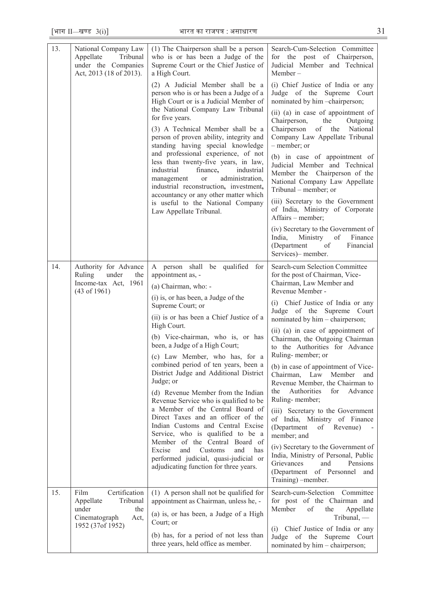$\overline{\phantom{a}}$ 

| 13. | National Company Law<br>Appellate<br>Tribunal<br>under the Companies<br>Act, 2013 (18 of 2013).             | (1) The Chairperson shall be a person<br>who is or has been a Judge of the<br>Supreme Court or the Chief Justice of<br>a High Court.<br>(2) A Judicial Member shall be a<br>person who is or has been a Judge of a<br>High Court or is a Judicial Member of<br>the National Company Law Tribunal<br>for five years.<br>(3) A Technical Member shall be a<br>person of proven ability, integrity and<br>standing having special knowledge<br>and professional experience, of not<br>less than twenty-five years, in law,<br>finance,<br>industrial<br>industrial<br>administration,<br>management<br>or<br>industrial reconstruction, investment,<br>accountancy or any other matter which<br>is useful to the National Company<br>Law Appellate Tribunal.                                                      | Search-Cum-Selection Committee<br>for the post of Chairperson,<br>Judicial Member and Technical<br>Member-<br>(i) Chief Justice of India or any<br>Judge of the Supreme Court<br>nominated by him -chairperson;<br>(ii) (a) in case of appointment of<br>Chairperson,<br>the<br>Outgoing<br>Chairperson<br>of the<br>National<br>Company Law Appellate Tribunal<br>– member; or<br>(b) in case of appointment of<br>Judicial Member and Technical<br>Member the Chairperson of the<br>National Company Law Appellate<br>Tribunal – member; or<br>(iii) Secretary to the Government<br>of India, Ministry of Corporate<br>Affairs - member;<br>(iv) Secretary to the Government of<br>Ministry<br>of<br>India,<br>Finance<br>(Department<br>of<br>Financial<br>Services)- member.                                                  |
|-----|-------------------------------------------------------------------------------------------------------------|----------------------------------------------------------------------------------------------------------------------------------------------------------------------------------------------------------------------------------------------------------------------------------------------------------------------------------------------------------------------------------------------------------------------------------------------------------------------------------------------------------------------------------------------------------------------------------------------------------------------------------------------------------------------------------------------------------------------------------------------------------------------------------------------------------------|-----------------------------------------------------------------------------------------------------------------------------------------------------------------------------------------------------------------------------------------------------------------------------------------------------------------------------------------------------------------------------------------------------------------------------------------------------------------------------------------------------------------------------------------------------------------------------------------------------------------------------------------------------------------------------------------------------------------------------------------------------------------------------------------------------------------------------------|
| 14. | Authority for Advance<br>Ruling<br>under<br>the<br>Income-tax Act, 1961<br>$(43 \text{ of } 1961)$          | A person shall be qualified for<br>appointment as, -<br>(a) Chairman, who: -<br>(i) is, or has been, a Judge of the<br>Supreme Court; or<br>(ii) is or has been a Chief Justice of a<br>High Court.<br>(b) Vice-chairman, who is, or has<br>been, a Judge of a High Court;<br>(c) Law Member, who has, for a<br>combined period of ten years, been a<br>District Judge and Additional District<br>Judge; or<br>(d) Revenue Member from the Indian<br>Revenue Service who is qualified to be<br>a Member of the Central Board of<br>Direct Taxes and an officer of the<br>Indian Customs and Central Excise<br>Service, who is qualified to be a<br>Member of the Central Board of<br>Excise<br>and<br>Customs<br>and<br>has<br>performed judicial, quasi-judicial or<br>adjudicating function for three years. | Search-cum Selection Committee<br>for the post of Chairman, Vice-<br>Chairman, Law Member and<br>Revenue Member -<br>(i) Chief Justice of India or any<br>Judge of the Supreme Court<br>nominated by him - chairperson;<br>(ii) (a) in case of appointment of<br>Chairman, the Outgoing Chairman<br>to the Authorities for Advance<br>Ruling-member; or<br>(b) in case of appointment of Vice-<br>Law<br>Member<br>Chairman,<br>and<br>Revenue Member, the Chairman to<br>Authorities<br>for<br>Advance<br>the<br>Ruling-member;<br>(iii) Secretary to the Government<br>of India, Ministry of Finance<br>(Department<br>of<br>Revenue)<br>member; and<br>(iv) Secretary to the Government of<br>India, Ministry of Personal, Public<br>Grievances<br>and<br>Pensions<br>of Personnel<br>(Department<br>and<br>Training) -member. |
| 15. | Certification<br>Film<br>Tribunal<br>Appellate<br>under<br>the<br>Cinematograph<br>Act,<br>1952 (37of 1952) | (1) A person shall not be qualified for<br>appointment as Chairman, unless he, -<br>(a) is, or has been, a Judge of a High<br>Court; or<br>(b) has, for a period of not less than<br>three years, held office as member.                                                                                                                                                                                                                                                                                                                                                                                                                                                                                                                                                                                       | Search-cum-Selection<br>Committee<br>for post of the Chairman and<br>Member<br>of<br>the<br>Appellate<br>$Tribunal$ , —<br>Chief Justice of India or any<br>(i)<br>Supreme<br>Judge of the<br>Court<br>nominated by him - chairperson;                                                                                                                                                                                                                                                                                                                                                                                                                                                                                                                                                                                            |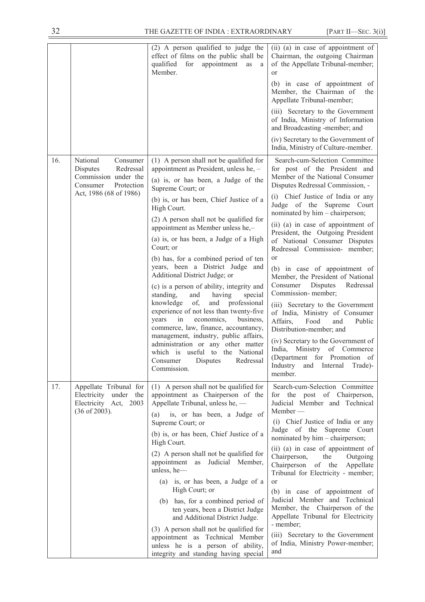|     |                                                                          | (2) A person qualified to judge the<br>effect of films on the public shall be<br>qualified<br>for<br>appointment<br>as<br><sub>a</sub><br>Member.                                                             | (ii) (a) in case of appointment of<br>Chairman, the outgoing Chairman<br>of the Appellate Tribunal-member;<br>or                                           |
|-----|--------------------------------------------------------------------------|---------------------------------------------------------------------------------------------------------------------------------------------------------------------------------------------------------------|------------------------------------------------------------------------------------------------------------------------------------------------------------|
|     |                                                                          |                                                                                                                                                                                                               | (b) in case of appointment of<br>Member, the Chairman of<br>the<br>Appellate Tribunal-member;                                                              |
|     |                                                                          |                                                                                                                                                                                                               | (iii) Secretary to the Government<br>of India, Ministry of Information<br>and Broadcasting -member; and                                                    |
|     |                                                                          |                                                                                                                                                                                                               | (iv) Secretary to the Government of<br>India, Ministry of Culture-member.                                                                                  |
| 16. | National<br>Consumer<br>Redressal<br>Disputes                            | (1) A person shall not be qualified for<br>appointment as President, unless he, -                                                                                                                             | Search-cum-Selection Committee<br>for post of the President and                                                                                            |
|     | Commission under the<br>Protection<br>Consumer<br>Act, 1986 (68 of 1986) | (a) is, or has been, a Judge of the<br>Supreme Court; or                                                                                                                                                      | Member of the National Consumer<br>Disputes Redressal Commission, -                                                                                        |
|     |                                                                          | (b) is, or has been, Chief Justice of a<br>High Court.                                                                                                                                                        | (i) Chief Justice of India or any<br>Judge of the Supreme Court<br>nominated by him - chairperson;                                                         |
|     |                                                                          | (2) A person shall not be qualified for<br>appointment as Member unless he,-                                                                                                                                  | (ii) (a) in case of appointment of<br>President, the Outgoing President                                                                                    |
|     |                                                                          | (a) is, or has been, a Judge of a High<br>Court; or                                                                                                                                                           | of National Consumer Disputes<br>Redressal Commission- member;                                                                                             |
|     |                                                                          | (b) has, for a combined period of ten<br>years, been a District Judge and                                                                                                                                     | or<br>(b) in case of appointment of                                                                                                                        |
|     |                                                                          | Additional District Judge; or<br>(c) is a person of ability, integrity and                                                                                                                                    | Member, the President of National<br><b>Disputes</b><br>Consumer<br>Redressal                                                                              |
|     |                                                                          | standing,<br>and<br>having<br>special<br>knowledge<br>of,<br>and<br>professional<br>experience of not less than twenty-five<br>economics,<br>business,<br>years<br>in<br>commerce, law, finance, accountancy, | Commission-member;<br>(iii) Secretary to the Government<br>of India, Ministry of Consumer<br>Affairs,<br>Food<br>and<br>Public<br>Distribution-member; and |
|     |                                                                          | management, industry, public affairs,<br>administration or any other matter<br>which is useful to the National<br>Consumer<br>Disputes<br>Redressal<br>Commission.                                            | (iv) Secretary to the Government of<br>Ministry of Commerce<br>India,<br>(Department for Promotion of<br>Industry and Internal Trade)-<br>member.          |
| 17. | Appellate Tribunal for<br>Electricity under the<br>Electricity Act, 2003 | (1) A person shall not be qualified for<br>appointment as Chairperson of the<br>Appellate Tribunal, unless he, -                                                                                              | Search-cum-Selection Committee<br>for the post of Chairperson,<br>Judicial Member and Technical                                                            |
|     | $(36$ of 2003).                                                          | is, or has been, a Judge of<br>(a)<br>Supreme Court; or                                                                                                                                                       | $Member$ —<br>(i) Chief Justice of India or any                                                                                                            |
|     |                                                                          | (b) is, or has been, Chief Justice of a<br>High Court.                                                                                                                                                        | Judge of the Supreme Court<br>nominated by him - chairperson;                                                                                              |
|     |                                                                          | (2) A person shall not be qualified for<br>appointment as Judicial Member,<br>unless, he-                                                                                                                     | (ii) (a) in case of appointment of<br>Chairperson,<br>the<br>Outgoing<br>of the<br>Chairperson<br>Appellate<br>Tribunal for Electricity - member;          |
|     |                                                                          | (a) is, or has been, a Judge of a<br>High Court; or                                                                                                                                                           | or<br>(b) in case of appointment of                                                                                                                        |
|     |                                                                          | (b) has, for a combined period of<br>ten years, been a District Judge<br>and Additional District Judge.                                                                                                       | Judicial Member and Technical<br>Member, the Chairperson of the<br>Appellate Tribunal for Electricity<br>- member;                                         |
|     |                                                                          | (3) A person shall not be qualified for<br>appointment as Technical Member<br>unless he is a person of ability,<br>integrity and standing having special                                                      | (iii) Secretary to the Government<br>of India, Ministry Power-member;<br>and                                                                               |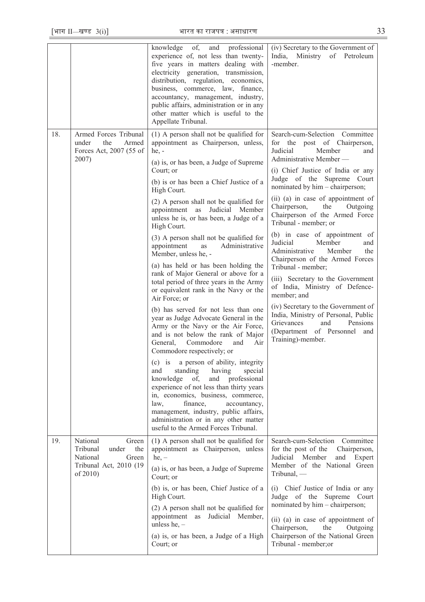|     |                                                                                                          | knowledge of, and professional<br>experience of, not less than twenty-<br>five years in matters dealing with<br>electricity generation, transmission,<br>distribution, regulation, economics,<br>business, commerce, law, finance,<br>accountancy, management, industry,<br>public affairs, administration or in any<br>other matter which is useful to the<br>Appellate Tribunal.                                                                                                                                                                                                                                                                                                                                                                                                                                                                                                                                                                                                                                                                                                                                                                                                                                                                           | (iv) Secretary to the Government of<br>India, Ministry of Petroleum<br>-member.                                                                                                                                                                                                                                                                                                                                                                                                                                                                                                                                                                                                                                                                                                               |
|-----|----------------------------------------------------------------------------------------------------------|--------------------------------------------------------------------------------------------------------------------------------------------------------------------------------------------------------------------------------------------------------------------------------------------------------------------------------------------------------------------------------------------------------------------------------------------------------------------------------------------------------------------------------------------------------------------------------------------------------------------------------------------------------------------------------------------------------------------------------------------------------------------------------------------------------------------------------------------------------------------------------------------------------------------------------------------------------------------------------------------------------------------------------------------------------------------------------------------------------------------------------------------------------------------------------------------------------------------------------------------------------------|-----------------------------------------------------------------------------------------------------------------------------------------------------------------------------------------------------------------------------------------------------------------------------------------------------------------------------------------------------------------------------------------------------------------------------------------------------------------------------------------------------------------------------------------------------------------------------------------------------------------------------------------------------------------------------------------------------------------------------------------------------------------------------------------------|
| 18. | Armed Forces Tribunal<br>Armed<br>under<br>the<br>Forces Act, 2007 (55 of<br>2007)                       | (1) A person shall not be qualified for<br>appointment as Chairperson, unless,<br>$he, -$<br>(a) is, or has been, a Judge of Supreme<br>Court; or<br>(b) is or has been a Chief Justice of a<br>High Court.<br>(2) A person shall not be qualified for<br>appointment as Judicial Member<br>unless he is, or has been, a Judge of a<br>High Court.<br>(3) A person shall not be qualified for<br>appointment<br>as<br>Administrative<br>Member, unless he, -<br>(a) has held or has been holding the<br>rank of Major General or above for a<br>total period of three years in the Army<br>or equivalent rank in the Navy or the<br>Air Force; or<br>(b) has served for not less than one<br>year as Judge Advocate General in the<br>Army or the Navy or the Air Force,<br>and is not below the rank of Major<br>General, Commodore<br>and<br>Air<br>Commodore respectively; or<br>(c) is a person of ability, integrity<br>standing<br>having<br>special<br>and<br>knowledge<br>professional<br>of,<br>and<br>experience of not less than thirty years<br>in, economics, business, commerce,<br>law,<br>finance,<br>accountancy,<br>management, industry, public affairs,<br>administration or in any other matter<br>useful to the Armed Forces Tribunal. | Search-cum-Selection Committee<br>for the post of Chairperson,<br>Judicial<br>Member<br>and<br>Administrative Member-<br>(i) Chief Justice of India or any<br>Judge of the Supreme Court<br>nominated by him - chairperson;<br>(ii) (a) in case of appointment of<br>Chairperson,<br>the<br>Outgoing<br>Chairperson of the Armed Force<br>Tribunal - member; or<br>(b) in case of appointment of<br>Judicial<br>Member<br>and<br>Member<br>Administrative<br>the<br>Chairperson of the Armed Forces<br>Tribunal - member;<br>(iii) Secretary to the Government<br>of India, Ministry of Defence-<br>member; and<br>(iv) Secretary to the Government of<br>India, Ministry of Personal, Public<br>and<br><b>Grievances</b><br>Pensions<br>(Department of Personnel<br>and<br>Training)-member. |
| 19. | National<br>Green<br>Tribunal<br>the<br>under<br>National<br>Green<br>Tribunal Act, 2010 (19<br>of 2010) | (1) A person shall not be qualified for<br>appointment as Chairperson, unless<br>$he, -$<br>(a) is, or has been, a Judge of Supreme<br>Court; or<br>(b) is, or has been, Chief Justice of a<br>High Court.<br>(2) A person shall not be qualified for<br>appointment as Judicial Member,<br>unless he, $-$<br>(a) is, or has been, a Judge of a High<br>Court; or                                                                                                                                                                                                                                                                                                                                                                                                                                                                                                                                                                                                                                                                                                                                                                                                                                                                                            | Search-cum-Selection Committee<br>for the post of the<br>Chairperson,<br>Judicial Member<br>and<br>Expert<br>Member of the National Green<br>Tribunal, -<br>(i) Chief Justice of India or any<br>Judge of the Supreme Court<br>nominated by him - chairperson;<br>(ii) (a) in case of appointment of<br>Chairperson,<br>the<br>Outgoing<br>Chairperson of the National Green<br>Tribunal - member;or                                                                                                                                                                                                                                                                                                                                                                                          |